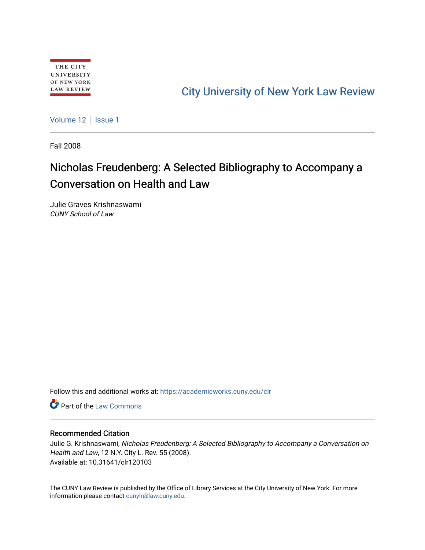# [City University of New York Law Review](https://academicworks.cuny.edu/clr)

[Volume 12](https://academicworks.cuny.edu/clr/vol12) | [Issue 1](https://academicworks.cuny.edu/clr/vol12/iss1)

Fall 2008

# Nicholas Freudenberg: A Selected Bibliography to Accompany a Conversation on Health and Law

Julie Graves Krishnaswami CUNY School of Law

Follow this and additional works at: [https://academicworks.cuny.edu/clr](https://academicworks.cuny.edu/clr?utm_source=academicworks.cuny.edu%2Fclr%2Fvol12%2Fiss1%2F4&utm_medium=PDF&utm_campaign=PDFCoverPages) 

**C** Part of the [Law Commons](http://network.bepress.com/hgg/discipline/578?utm_source=academicworks.cuny.edu%2Fclr%2Fvol12%2Fiss1%2F4&utm_medium=PDF&utm_campaign=PDFCoverPages)

### Recommended Citation

Julie G. Krishnaswami, Nicholas Freudenberg: A Selected Bibliography to Accompany a Conversation on Health and Law, 12 N.Y. City L. Rev. 55 (2008). Available at: 10.31641/clr120103

The CUNY Law Review is published by the Office of Library Services at the City University of New York. For more information please contact [cunylr@law.cuny.edu](mailto:cunylr@law.cuny.edu).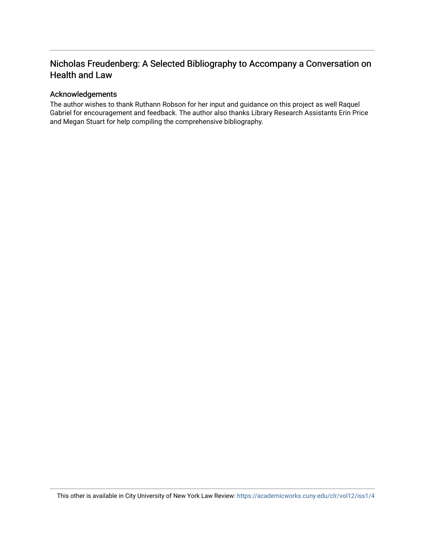## Nicholas Freudenberg: A Selected Bibliography to Accompany a Conversation on Health and Law

## Acknowledgements

The author wishes to thank Ruthann Robson for her input and guidance on this project as well Raquel Gabriel for encouragement and feedback. The author also thanks Library Research Assistants Erin Price and Megan Stuart for help compiling the comprehensive bibliography.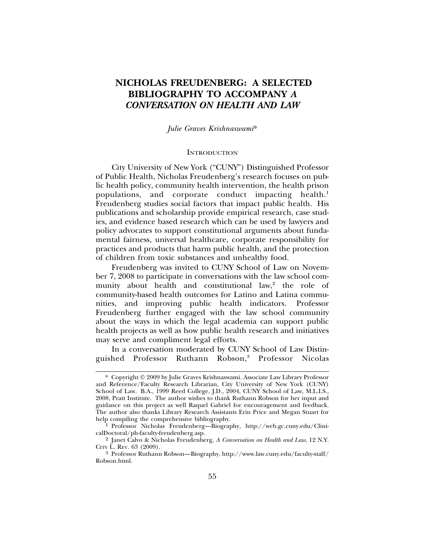## **NICHOLAS FREUDENBERG: A SELECTED BIBLIOGRAPHY TO ACCOMPANY** *A CONVERSATION ON HEALTH AND LAW*

*Julie Graves Krishnaswami*\*

### **INTRODUCTION**

City University of New York ("CUNY") Distinguished Professor of Public Health, Nicholas Freudenberg's research focuses on public health policy, community health intervention, the health prison populations, and corporate conduct impacting health.<sup>1</sup> Freudenberg studies social factors that impact public health. His publications and scholarship provide empirical research, case studies, and evidence based research which can be used by lawyers and policy advocates to support constitutional arguments about fundamental fairness, universal healthcare, corporate responsibility for practices and products that harm public health, and the protection of children from toxic substances and unhealthy food.

Freudenberg was invited to CUNY School of Law on November 7, 2008 to participate in conversations with the law school community about health and constitutional law,<sup>2</sup> the role of community-based health outcomes for Latino and Latina communities, and improving public health indicators. Professor Freudenberg further engaged with the law school community about the ways in which the legal academia can support public health projects as well as how public health research and initiatives may serve and compliment legal efforts.

In a conversation moderated by CUNY School of Law Distinguished Professor Ruthann Robson,<sup>3</sup> Professor Nicolas

<sup>\*</sup> Copyright 2009 by Julie Graves Krishnaswami. Associate Law Library Professor and Reference/Faculty Research Librarian, City University of New York (CUNY) School of Law. B.A., 1999 Reed College, J.D., 2004, CUNY School of Law, M.L.I.S., 2008, Pratt Institute. The author wishes to thank Ruthann Robson for her input and guidance on this project as well Raquel Gabriel for encouragement and feedback. The author also thanks Library Research Assistants Erin Price and Megan Stuart for help compiling the comprehensive bibliography.<br><sup>1</sup> Professor Nicholas Freudenberg—Biography, http://web.gc.cuny.edu/Clini-

calDoctoral/ph-faculty-freudenberg.asp.

<sup>2</sup> Janet Calvo & Nicholas Freudenberg, *A Conversation on Health and Law*, 12 N.Y.

<sup>&</sup>lt;sup>3</sup> Professor Ruthann Robson—Biography, http://www.law.cuny.edu/faculty-staff/ Robson.html.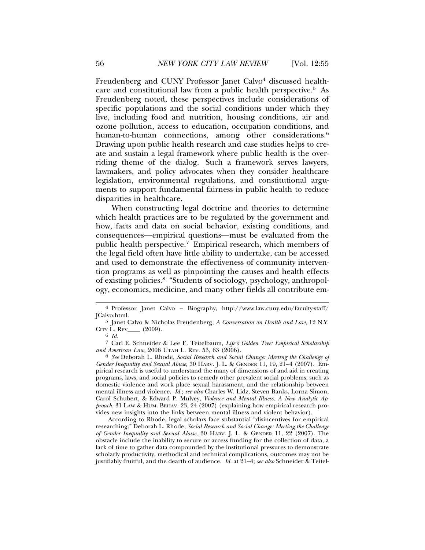Freudenberg and CUNY Professor Janet Calvo<sup>4</sup> discussed healthcare and constitutional law from a public health perspective.<sup>5</sup> As Freudenberg noted, these perspectives include considerations of specific populations and the social conditions under which they live, including food and nutrition, housing conditions, air and ozone pollution, access to education, occupation conditions, and human-to-human connections, among other considerations.<sup>6</sup> Drawing upon public health research and case studies helps to create and sustain a legal framework where public health is the overriding theme of the dialog. Such a framework serves lawyers, lawmakers, and policy advocates when they consider healthcare legislation, environmental regulations, and constitutional arguments to support fundamental fairness in public health to reduce disparities in healthcare.

When constructing legal doctrine and theories to determine which health practices are to be regulated by the government and how, facts and data on social behavior, existing conditions, and consequences—empirical questions—must be evaluated from the public health perspective.7 Empirical research, which members of the legal field often have little ability to undertake, can be accessed and used to demonstrate the effectiveness of community intervention programs as well as pinpointing the causes and health effects of existing policies.8 "Students of sociology, psychology, anthropology, economics, medicine, and many other fields all contribute em-

<sup>8</sup> *See* Deborah L. Rhode, *Social Research and Social Change: Meeting the Challenge of Gender Inequality and Sexual Abuse*, 30 HARV. J. L. & GENDER 11, 19, 21–4 (2007). Empirical research is useful to understand the many of dimensions of and aid in creating programs, laws, and social policies to remedy other prevalent social problems, such as domestic violence and work place sexual harassment, and the relationship between mental illness and violence. *Id.*; *see also* Charles W. Lidz, Steven Banks, Lorna Simon, Carol Schubert, & Edward P. Mulvey, *Violence and Mental Illness: A New Analytic Approach*, 31 LAW & HUM. BEHAV. 23, 24 (2007) (explaining how empirical research provides new insights into the links between mental illness and violent behavior).

According to Rhode, legal scholars face substantial "disincentives for empirical researching." Deborah L. Rhode, *Social Research and Social Change: Meeting the Challenge of Gender Inequality and Sexual Abuse*, 30 HARV. J. L. & GENDER 11, 22 (2007). The obstacle include the inability to secure or access funding for the collection of data, a lack of time to gather data compounded by the institutional pressures to demonstrate scholarly productivity, methodical and technical complications, outcomes may not be justifiably fruitful, and the dearth of audience. *Id.* at 21–4; *see also* Schneider & Teitel-

<sup>4</sup> Professor Janet Calvo – Biography, http://www.law.cuny.edu/faculty-staff/ JCalvo.html.

<sup>5</sup> Janet Calvo & Nicholas Freudenberg, *A Conversation on Health and Law*, 12 N.Y. CITY L. REV\_\_\_\_ (2009). <sup>6</sup> *Id.*

<sup>7</sup> Carl E. Schneider & Lee E. Teitelbaum, *Life's Golden Tree: Empirical Scholarship*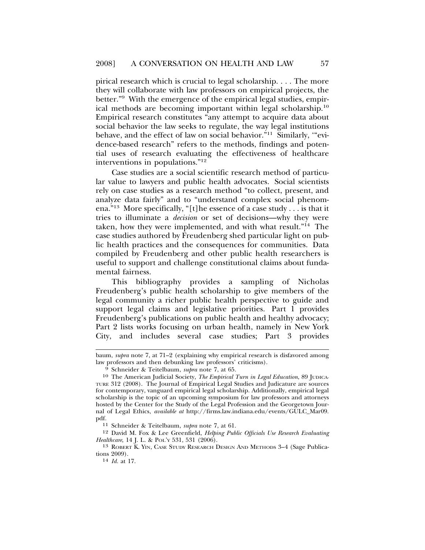pirical research which is crucial to legal scholarship. . . . The more they will collaborate with law professors on empirical projects, the better."9 With the emergence of the empirical legal studies, empirical methods are becoming important within legal scholarship.10 Empirical research constitutes "any attempt to acquire data about social behavior the law seeks to regulate, the way legal institutions behave, and the effect of law on social behavior."<sup>11</sup> Similarly, "evidence-based research" refers to the methods, findings and potential uses of research evaluating the effectiveness of healthcare interventions in populations."12

Case studies are a social scientific research method of particular value to lawyers and public health advocates. Social scientists rely on case studies as a research method "to collect, present, and analyze data fairly" and to "understand complex social phenomena."13 More specifically, "[t]he essence of a case study . . . is that it tries to illuminate a *decision* or set of decisions—why they were taken, how they were implemented, and with what result."14 The case studies authored by Freudenberg shed particular light on public health practices and the consequences for communities. Data compiled by Freudenberg and other public health researchers is useful to support and challenge constitutional claims about fundamental fairness.

This bibliography provides a sampling of Nicholas Freudenberg's public health scholarship to give members of the legal community a richer public health perspective to guide and support legal claims and legislative priorities. Part 1 provides Freudenberg's publications on public health and healthy advocacy; Part 2 lists works focusing on urban health, namely in New York City, and includes several case studies; Part 3 provides

baum, *supra* note 7, at 71–2 (explaining why empirical research is disfavored among law professors and then debunking law professors' criticisms).

<sup>9</sup> Schneider & Teitelbaum, *supra* note 7, at 65.

<sup>10</sup> The American Judicial Society, *The Empirical Turn in Legal Education*, 89 JUDICA-TURE 312 (2008). The Journal of Empirical Legal Studies and Judicature are sources for contemporary, vanguard empirical legal scholarship. Additionally, empirical legal scholarship is the topic of an upcoming symposium for law professors and attorneys hosted by the Center for the Study of the Legal Profession and the Georgetown Journal of Legal Ethics, *available at* http://firms.law.indiana.edu/events/GULC\_Mar09. pdf.

<sup>11</sup> Schneider & Teitelbaum, *supra* note 7, at 61.

<sup>12</sup> David M. Fox & Lee Greenfield, *Helping Public Officials Use Research Evaluating Healthcare*, 14 J. L. & POL'Y 531, 531 (2006).

<sup>13</sup> ROBERT K. YIN, CASE STUDY RESEARCH DESIGN AND METHODS 3–4 (Sage Publications 2009).

<sup>14</sup> *Id.* at 17.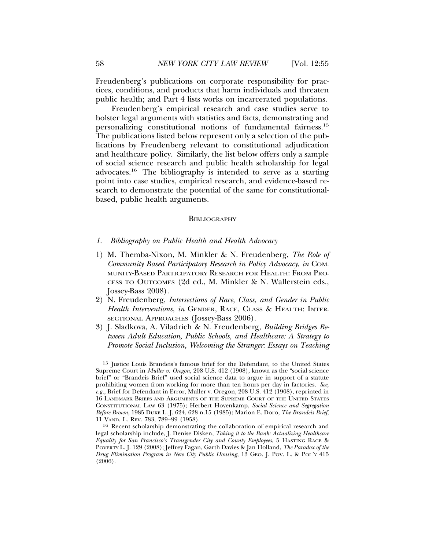Freudenberg's publications on corporate responsibility for practices, conditions, and products that harm individuals and threaten public health; and Part 4 lists works on incarcerated populations.

Freudenberg's empirical research and case studies serve to bolster legal arguments with statistics and facts, demonstrating and personalizing constitutional notions of fundamental fairness.15 The publications listed below represent only a selection of the publications by Freudenberg relevant to constitutional adjudication and healthcare policy. Similarly, the list below offers only a sample of social science research and public health scholarship for legal advocates.16 The bibliography is intended to serve as a starting point into case studies, empirical research, and evidence-based research to demonstrate the potential of the same for constitutionalbased, public health arguments.

#### **BIBLIOGRAPHY**

### *1. Bibliography on Public Health and Health Advocacy*

- 1) M. Themba-Nixon, M. Minkler & N. Freudenberg, *The Role of Community Based Participatory Research in Policy Advocacy*, *in* COM-MUNITY-BASED PARTICIPATORY RESEARCH FOR HEALTH: FROM PRO-CESS TO OUTCOMES (2d ed., M. Minkler & N. Wallerstein eds., Jossey-Bass 2008).
- 2) N. Freudenberg, *Intersections of Race, Class, and Gender in Public Health Interventions*, *in* GENDER, RACE, CLASS & HEALTH: INTER-SECTIONAL APPROACHES (JOSSEY-Bass 2006).
- 3) J. Sladkova, A. Viladrich & N. Freudenberg, *Building Bridges Between Adult Education, Public Schools, and Healthcare: A Strategy to Promote Social Inclusion, Welcoming the Stranger: Essays on Teaching*

<sup>15</sup> Justice Louis Brandeis's famous brief for the Defendant, to the United States Supreme Court in *Muller v. Oregon*, 208 U.S. 412 (1908), known as the "social science brief" or "Brandeis Brief" used social science data to argue in support of a statute prohibiting women from working for more than ten hours per day in factories. *See, e.g.*, Brief for Defendant in Error, Muller v. Oregon, 208 U.S. 412 (1908), reprinted in 16 LANDMARK BRIEFS AND ARGUMENTS OF THE SUPREME COURT OF THE UNITED STATES CONSTITUTIONAL LAW 63 (1975); Herbert Hovenkamp, *Social Science and Segregation Before Brown*, 1985 DUKE L. J. 624, 628 n.15 (1985); Marion E. Doro, *The Brandeis Brief*, 11 VAND. L. REV. 783, 789–99 (1958).

<sup>16</sup> Recent scholarship demonstrating the collaboration of empirical research and legal scholarship include, J. Denise Disken, *Taking it to the Bank: Actualizing Healthcare Equality for San Francisco's Transgender City and County Employees*, 5 HASTING RACE & POVERTY L. J. 129 (2008); Jeffrey Fagan, Garth Davies & Jan Holland, *The Paradox of the Drug Elimination Program in New City Public Housing*, 13 GEO. J. POV. L. & POL'Y 415  $(2006)$ .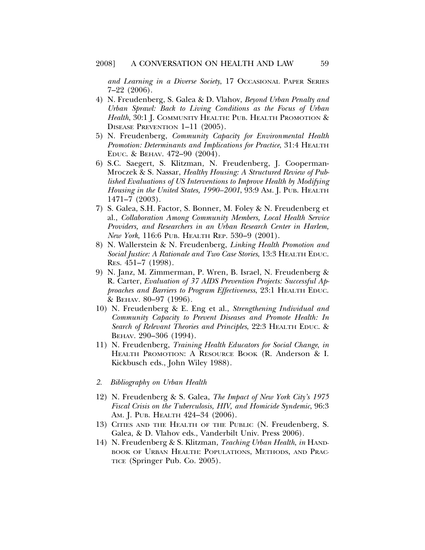*and Learning in a Diverse Society*, 17 OCCASIONAL PAPER SERIES 7–22 (2006).

- 4) N. Freudenberg, S. Galea & D. Vlahov, *Beyond Urban Penalty and Urban Sprawl: Back to Living Conditions as the Focus of Urban Health*, 30:1 J. COMMUNITY HEALTH: PUB. HEALTH PROMOTION & DISEASE PREVENTION 1–11 (2005).
- 5) N. Freudenberg, *Community Capacity for Environmental Health Promotion: Determinants and Implications for Practice*, 31:4 HEALTH EDUC. & BEHAV. 472–90 (2004).
- 6) S.C. Saegert, S. Klitzman, N. Freudenberg, J. Cooperman-Mroczek & S. Nassar, *Healthy Housing: A Structured Review of Published Evaluations of US Interventions to Improve Health by Modifying Housing in the United States, 1990–2001*, 93:9 AM. J. PUB. HEALTH 1471–7 (2003).
- 7) S. Galea, S.H. Factor, S. Bonner, M. Foley & N. Freudenberg et al., *Collaboration Among Community Members, Local Health Service Providers, and Researchers in an Urban Research Center in Harlem, New York*, 116:6 PUB. HEALTH REP. 530–9 (2001).
- 8) N. Wallerstein & N. Freudenberg, *Linking Health Promotion and Social Justice: A Rationale and Two Case Stories*, 13:3 HEALTH EDUC. RES. 451–7 (1998).
- 9) N. Janz, M. Zimmerman, P. Wren, B. Israel, N. Freudenberg & R. Carter, *Evaluation of 37 AIDS Prevention Projects: Successful Approaches and Barriers to Program Effectiveness*, 23:1 HEALTH EDUC. & BEHAV. 80–97 (1996).
- 10) N. Freudenberg & E. Eng et al., *Strengthening Individual and Community Capacity to Prevent Diseases and Promote Health: In Search of Relevant Theories and Principles*, 22:3 HEALTH EDUC. & BEHAV. 290–306 (1994).
- 11) N. Freudenberg, *Training Health Educators for Social Change*, *in* HEALTH PROMOTION: A RESOURCE BOOK (R. Anderson & I. Kickbusch eds., John Wiley 1988).
- *2. Bibliography on Urban Health*
- 12) N. Freudenberg & S. Galea, *The Impact of New York City's 1975 Fiscal Crisis on the Tuberculosis, HIV, and Homicide Syndemic*, 96:3 AM. J. PUB. HEALTH 424-34 (2006).
- 13) CITIES AND THE HEALTH OF THE PUBLIC (N. Freudenberg, S. Galea, & D. Vlahov eds., Vanderbilt Univ. Press 2006).
- 14) N. Freudenberg & S. Klitzman, *Teaching Urban Health*, *in* HAND-BOOK OF URBAN HEALTH: POPULATIONS, METHODS, AND PRAC-TICE (Springer Pub. Co. 2005).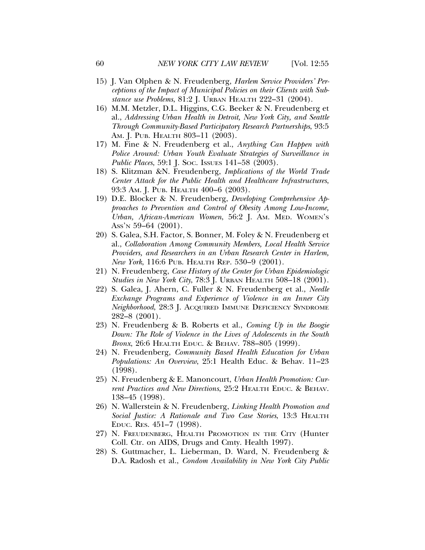- 15) J. Van Olphen & N. Freudenberg, *Harlem Service Providers' Perceptions of the Impact of Municipal Policies on their Clients with Substance use Problems*, 81:2 J. URBAN HEALTH 222–31 (2004).
- 16) M.M. Metzler, D.L. Higgins, C.G. Beeker & N. Freudenberg et al., *Addressing Urban Health in Detroit, New York City, and Seattle Through Community-Based Participatory Research Partnerships*, 93:5 AM. J. PUB. HEALTH 803-11 (2003).
- 17) M. Fine & N. Freudenberg et al., *Anything Can Happen with Police Around: Urban Youth Evaluate Strategies of Surveillance in Public Places*, 59:1 J. Soc. Issues 141–58 (2003).
- 18) S. Klitzman &N. Freudenberg, *Implications of the World Trade Center Attack for the Public Health and Healthcare Infrastructures*, 93:3 Am. J. Pub. Health 400–6 (2003).
- 19) D.E. Blocker & N. Freudenberg, *Developing Comprehensive Approaches to Prevention and Control of Obesity Among Low-Income, Urban, African-American Women*, 56:2 J. AM. MED. WOMEN'S ASS'N 59–64 (2001).
- 20) S. Galea, S.H. Factor, S. Bonner, M. Foley & N. Freudenberg et al., *Collaboration Among Community Members, Local Health Service Providers, and Researchers in an Urban Research Center in Harlem, New York*, 116:6 PUB. HEALTH REP. 530–9 (2001).
- 21) N. Freudenberg, *Case History of the Center for Urban Epidemiologic Studies in New York City*, 78:3 J. URBAN HEALTH 508–18 (2001).
- 22) S. Galea, J. Ahern, C. Fuller & N. Freudenberg et al., *Needle Exchange Programs and Experience of Violence in an Inner City Neighborhood*, 28:3 J. ACQUIRED IMMUNE DEFICIENCY SYNDROME 282–8 (2001).
- 23) N. Freudenberg & B. Roberts et al., *Coming Up in the Boogie Down: The Role of Violence in the Lives of Adolescents in the South Bronx*, 26:6 HEALTH EDUC. & BEHAV. 788–805 (1999).
- 24) N. Freudenberg, *Community Based Health Education for Urban Populations: An Overview*, 25:1 Health Educ. & Behav. 11–23 (1998).
- 25) N. Freudenberg & E. Manoncourt, *Urban Health Promotion: Current Practices and New Directions*, 25:2 HEALTH EDUC. & BEHAV. 138–45 (1998).
- 26) N. Wallerstein & N. Freudenberg, *Linking Health Promotion and Social Justice: A Rationale and Two Case Stories*, 13:3 HEALTH EDUC. RES. 451–7 (1998).
- 27) N. FREUDENBERG, HEALTH PROMOTION IN THE CITY (Hunter Coll. Ctr. on AIDS, Drugs and Cmty. Health 1997).
- 28) S. Guttmacher, L. Lieberman, D. Ward, N. Freudenberg & D.A. Radosh et al., *Condom Availability in New York City Public*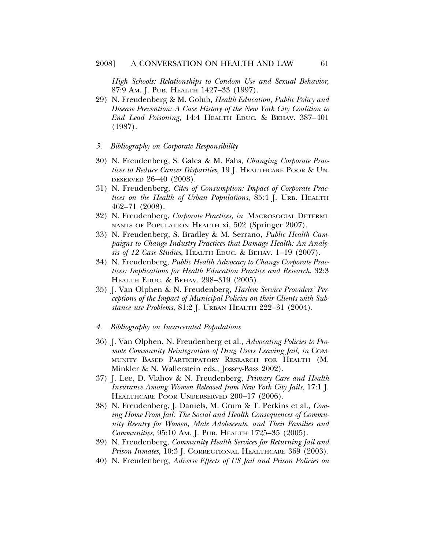*High Schools: Relationships to Condom Use and Sexual Behavior*, 87:9 AM. J. PUB. HEALTH 1427–33 (1997).

- 29) N. Freudenberg & M. Golub, *Health Education, Public Policy and Disease Prevention: A Case History of the New York City Coalition to End Lead Poisoning*, 14:4 HEALTH EDUC. & BEHAV. 387–401 (1987).
- *3. Bibliography on Corporate Responsibility*
- 30) N. Freudenberg, S. Galea & M. Fahs, *Changing Corporate Practices to Reduce Cancer Disparities*, 19 J. HEALTHCARE POOR & UN-DESERVED 26–40 (2008).
- 31) N. Freudenberg, *Cites of Consumption: Impact of Corporate Practices on the Health of Urban Populations*, 85:4 J. URB. HEALTH 462–71 (2008).
- 32) N. Freudenberg, *Corporate Practices, in* MACROSOCIAL DETERMI-NANTS OF POPULATION HEALTH xi, 502 (Springer 2007).
- 33) N. Freudenberg, S. Bradley & M. Serrano, *Public Health Campaigns to Change Industry Practices that Damage Health: An Analysis of 12 Case Studies*, HEALTH EDUC. & BEHAV. 1–19 (2007).
- 34) N. Freudenberg, *Public Health Advocacy to Change Corporate Practices: Implications for Health Education Practice and Research*, 32:3 HEALTH EDUC. & BEHAV. 298–319 (2005).
- 35) J. Van Olphen & N. Freudenberg, *Harlem Service Providers' Perceptions of the Impact of Municipal Policies on their Clients with Substance use Problems*, 81:2 J. URBAN HEALTH 222–31 (2004).
- *4. Bibliography on Incarcerated Populations*
- 36) J. Van Olphen, N. Freudenberg et al., *Advocating Policies to Promote Community Reintegration of Drug Users Leaving Jail*, *in* COM-MUNITY BASED PARTICIPATORY RESEARCH FOR HEALTH (M. Minkler & N. Wallerstein eds., Jossey-Bass 2002).
- 37) J. Lee, D. Vlahov & N. Freudenberg, *Primary Care and Health Insurance Among Women Released from New York City Jails*, 17:1 J. HEALTHCARE POOR UNDERSERVED 200-17 (2006).
- 38) N. Freudenberg, J. Daniels, M. Crum & T. Perkins et al., *Coming Home From Jail: The Social and Health Consequences of Community Reentry for Women, Male Adolescents, and Their Families and Communities*, 95:10 AM. J. PUB. HEALTH 1725–35 (2005).
- 39) N. Freudenberg, *Community Health Services for Returning Jail and Prison Inmates*, 10:3 J. CORRECTIONAL HEALTHCARE 369 (2003).
- 40) N. Freudenberg, *Adverse Effects of US Jail and Prison Policies on*